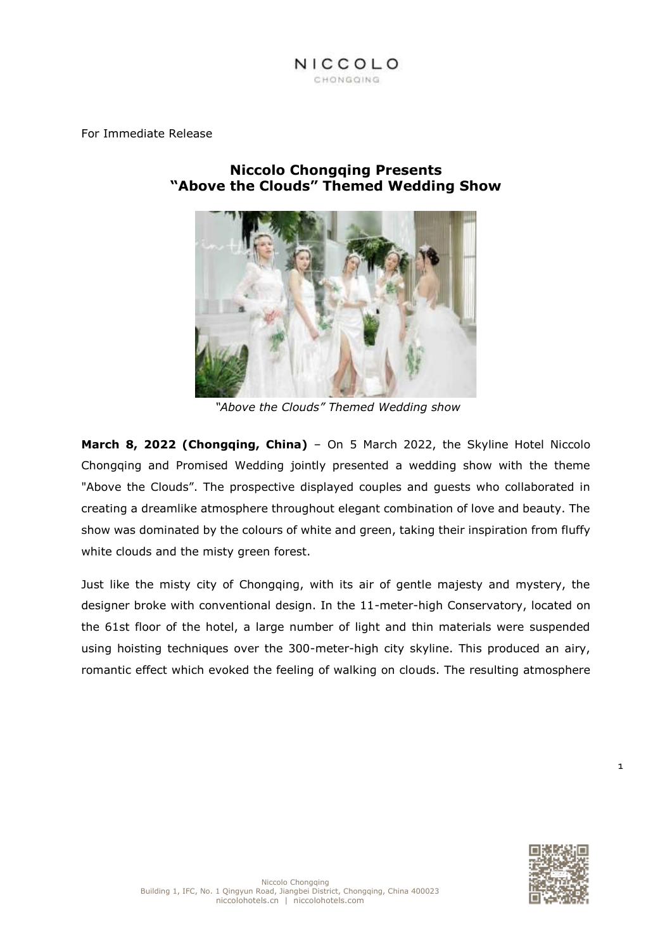

For Immediate Release

**Niccolo Chongqing Presents "Above the Clouds" Themed Wedding Show**

*"Above the Clouds" Themed Wedding show*

**March 8, 2022 (Chongqing, China)** – On 5 March 2022, the Skyline Hotel Niccolo Chongqing and Promised Wedding jointly presented a wedding show with the theme "Above the Clouds". The prospective displayed couples and guests who collaborated in creating a dreamlike atmosphere throughout elegant combination of love and beauty. The show was dominated by the colours of white and green, taking their inspiration from fluffy white clouds and the misty green forest.

Just like the misty city of Chongqing, with its air of gentle majesty and mystery, the designer broke with conventional design. In the 11-meter-high Conservatory, located on the 61st floor of the hotel, a large number of light and thin materials were suspended using hoisting techniques over the 300-meter-high city skyline. This produced an airy, romantic effect which evoked the feeling of walking on clouds. The resulting atmosphere

1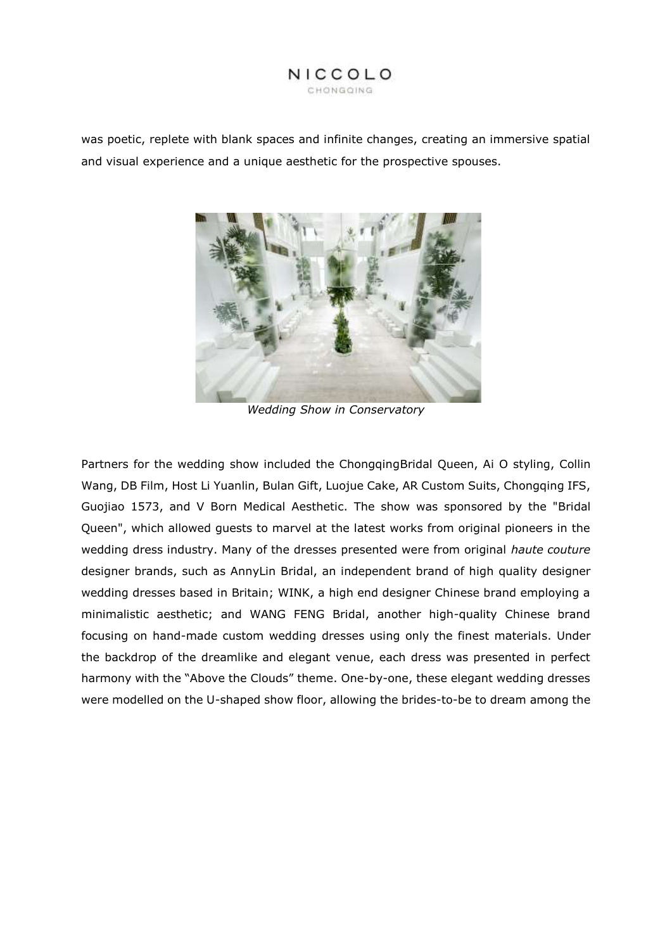# NICCOLO CHONGOING

was poetic, replete with blank spaces and infinite changes, creating an immersive spatial and visual experience and a unique aesthetic for the prospective spouses.



*Wedding Show in Conservatory*

Partners for the wedding show included the ChongqingBridal Queen, Ai O styling, Collin Wang, DB Film, Host Li Yuanlin, Bulan Gift, Luojue Cake, AR Custom Suits, Chongqing IFS, Guojiao 1573, and V Born Medical Aesthetic. The show was sponsored by the "Bridal Queen", which allowed guests to marvel at the latest works from original pioneers in the wedding dress industry. Many of the dresses presented were from original *haute couture* designer brands, such as AnnyLin Bridal, an independent brand of high quality designer wedding dresses based in Britain; WINK, a high end designer Chinese brand employing a minimalistic aesthetic; and WANG FENG Bridal, another high-quality Chinese brand focusing on hand-made custom wedding dresses using only the finest materials. Under the backdrop of the dreamlike and elegant venue, each dress was presented in perfect harmony with the "Above the Clouds" theme. One-by-one, these elegant wedding dresses were modelled on the U-shaped show floor, allowing the brides-to-be to dream among the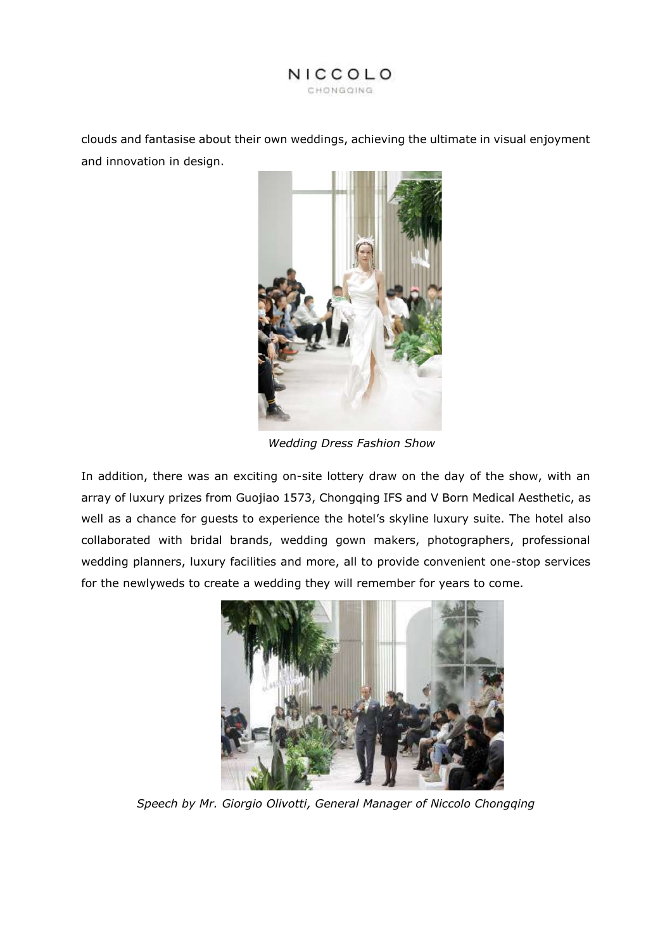

clouds and fantasise about their own weddings, achieving the ultimate in visual enjoyment and innovation in design.



 *Wedding Dress Fashion Show*

In addition, there was an exciting on-site lottery draw on the day of the show, with an array of luxury prizes from Guojiao 1573, Chongqing IFS and V Born Medical Aesthetic, as well as a chance for guests to experience the hotel's skyline luxury suite. The hotel also collaborated with bridal brands, wedding gown makers, photographers, professional wedding planners, luxury facilities and more, all to provide convenient one-stop services for the newlyweds to create a wedding they will remember for years to come.



*Speech by Mr. Giorgio Olivotti, General Manager of Niccolo Chongqing*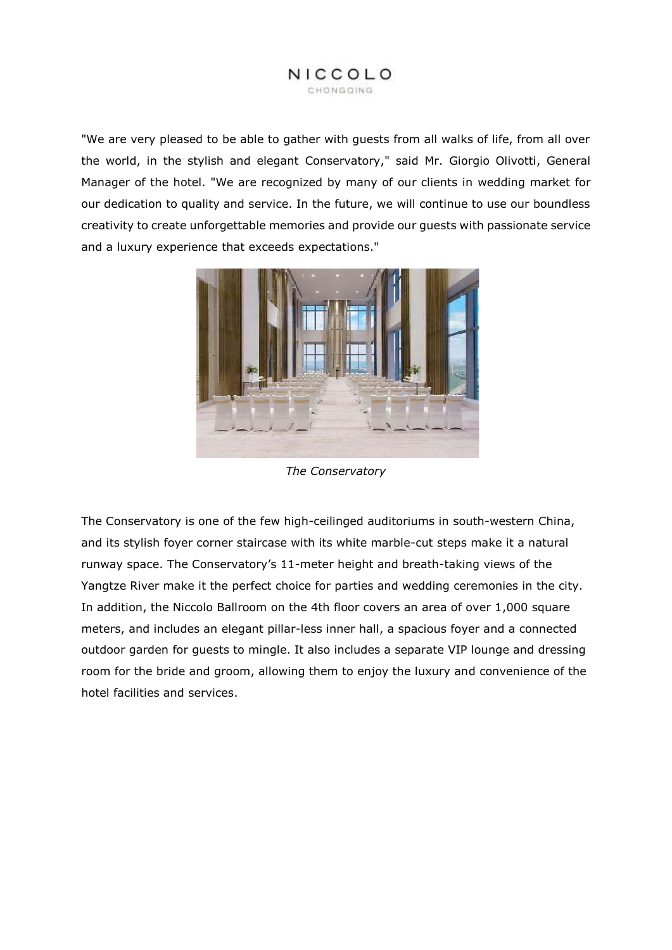### NICCOLO CHONGOING

"We are very pleased to be able to gather with guests from all walks of life, from all over the world, in the stylish and elegant Conservatory," said Mr. Giorgio Olivotti, General Manager of the hotel. "We are recognized by many of our clients in wedding market for our dedication to quality and service. In the future, we will continue to use our boundless creativity to create unforgettable memories and provide our guests with passionate service and a luxury experience that exceeds expectations."



*The Conservatory*

The Conservatory is one of the few high-ceilinged auditoriums in south-western China, and its stylish foyer corner staircase with its white marble-cut steps make it a natural runway space. The Conservatory's 11-meter height and breath-taking views of the Yangtze River make it the perfect choice for parties and wedding ceremonies in the city. In addition, the Niccolo Ballroom on the 4th floor covers an area of over 1,000 square meters, and includes an elegant pillar-less inner hall, a spacious foyer and a connected outdoor garden for guests to mingle. It also includes a separate VIP lounge and dressing room for the bride and groom, allowing them to enjoy the luxury and convenience of the hotel facilities and services.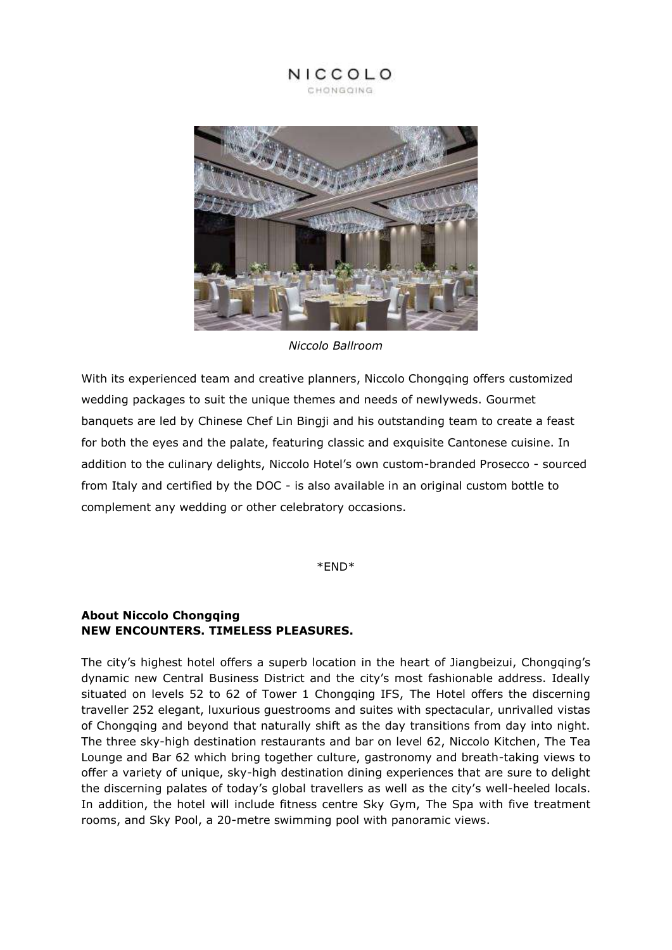NICCOLO CHONGQING



*Niccolo Ballroom*

With its experienced team and creative planners, Niccolo Chongqing offers customized wedding packages to suit the unique themes and needs of newlyweds. Gourmet banquets are led by Chinese Chef Lin Bingji and his outstanding team to create a feast for both the eyes and the palate, featuring classic and exquisite Cantonese cuisine. In addition to the culinary delights, Niccolo Hotel's own custom-branded Prosecco - sourced from Italy and certified by the DOC - is also available in an original custom bottle to complement any wedding or other celebratory occasions.

\*END\*

# **About Niccolo Chongqing NEW ENCOUNTERS. TIMELESS PLEASURES.**

The city's highest hotel offers a superb location in the heart of Jiangbeizui, Chongqing's dynamic new Central Business District and the city's most fashionable address. Ideally situated on levels 52 to 62 of Tower 1 Chongqing IFS, The Hotel offers the discerning traveller 252 elegant, luxurious guestrooms and suites with spectacular, unrivalled vistas of Chongqing and beyond that naturally shift as the day transitions from day into night. The three sky-high destination restaurants and bar on level 62, Niccolo Kitchen, The Tea Lounge and Bar 62 which bring together culture, gastronomy and breath-taking views to offer a variety of unique, sky-high destination dining experiences that are sure to delight the discerning palates of today's global travellers as well as the city's well-heeled locals. In addition, the hotel will include fitness centre Sky Gym, The Spa with five treatment rooms, and Sky Pool, a 20-metre swimming pool with panoramic views.